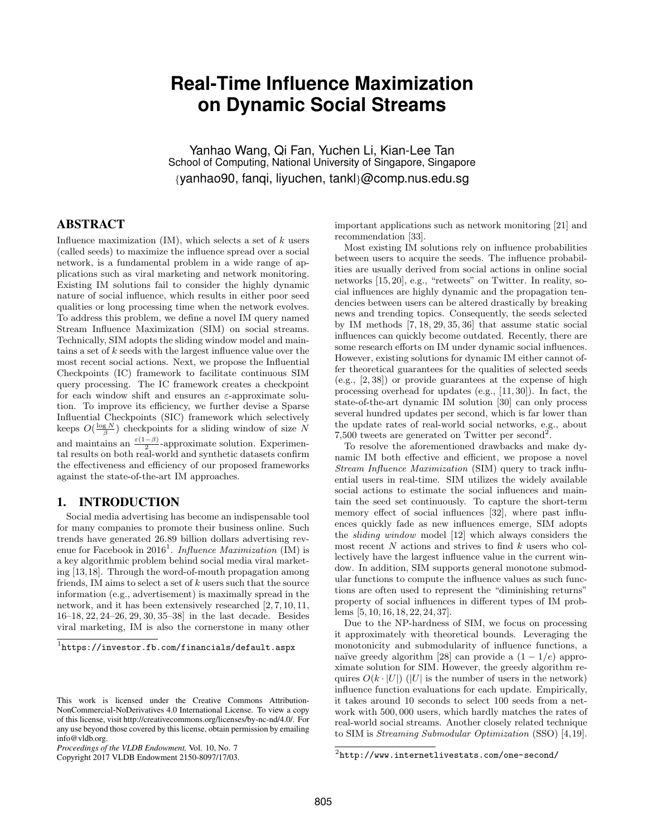# **Real-Time Influence Maximization on Dynamic Social Streams**

Yanhao Wang, Qi Fan, Yuchen Li, Kian-Lee Tan School of Computing, National University of Singapore, Singapore {yanhao90, fanqi, liyuchen, tankl}@comp.nus.edu.sg

# ABSTRACT

Influence maximization  $(IM)$ , which selects a set of k users (called seeds) to maximize the influence spread over a social network, is a fundamental problem in a wide range of applications such as viral marketing and network monitoring. Existing IM solutions fail to consider the highly dynamic nature of social influence, which results in either poor seed qualities or long processing time when the network evolves. To address this problem, we define a novel IM query named Stream Influence Maximization (SIM) on social streams. Technically, SIM adopts the sliding window model and maintains a set of k seeds with the largest influence value over the most recent social actions. Next, we propose the Influential Checkpoints (IC) framework to facilitate continuous SIM query processing. The IC framework creates a checkpoint for each window shift and ensures an  $\varepsilon$ -approximate solution. To improve its efficiency, we further devise a Sparse Influential Checkpoints (SIC) framework which selectively keeps  $O(\frac{\log N}{\beta})$  checkpoints for a sliding window of size N and maintains an  $\frac{\varepsilon(1-\beta)}{2}$ -approximate solution. Experimental results on both real-world and synthetic datasets confirm the effectiveness and efficiency of our proposed frameworks against the state-of-the-art IM approaches.

# 1. INTRODUCTION

Social media advertising has become an indispensable tool for many companies to promote their business online. Such trends have generated 26.89 billion dollars advertising revenue for Facebook in 2016<sup>1</sup>. Influence Maximization (IM) is a key algorithmic problem behind social media viral marketing [13,18]. Through the word-of-mouth propagation among friends, IM aims to select a set of  $k$  users such that the source information (e.g., advertisement) is maximally spread in the network, and it has been extensively researched [2, 7, 10, 11, 16–18, 22, 24–26, 29, 30, 35–38] in the last decade. Besides viral marketing, IM is also the cornerstone in many other

Copyright 2017 VLDB Endowment 2150-8097/17/03.

important applications such as network monitoring [21] and recommendation [33].

Most existing IM solutions rely on influence probabilities between users to acquire the seeds. The influence probabilities are usually derived from social actions in online social networks [15, 20], e.g., "retweets" on Twitter. In reality, social influences are highly dynamic and the propagation tendencies between users can be altered drastically by breaking news and trending topics. Consequently, the seeds selected by IM methods [7, 18, 29, 35, 36] that assume static social influences can quickly become outdated. Recently, there are some research efforts on IM under dynamic social influences. However, existing solutions for dynamic IM either cannot offer theoretical guarantees for the qualities of selected seeds (e.g., [2, 38]) or provide guarantees at the expense of high processing overhead for updates (e.g., [11, 30]). In fact, the state-of-the-art dynamic IM solution [30] can only process several hundred updates per second, which is far lower than the update rates of real-world social networks, e.g., about 7,500 tweets are generated on Twitter per second<sup>2</sup>.

To resolve the aforementioned drawbacks and make dynamic IM both effective and efficient, we propose a novel Stream Influence Maximization (SIM) query to track influential users in real-time. SIM utilizes the widely available social actions to estimate the social influences and maintain the seed set continuously. To capture the short-term memory effect of social influences [32], where past influences quickly fade as new influences emerge, SIM adopts the sliding window model [12] which always considers the most recent  $N$  actions and strives to find  $k$  users who collectively have the largest influence value in the current window. In addition, SIM supports general monotone submodular functions to compute the influence values as such functions are often used to represent the "diminishing returns" property of social influences in different types of IM problems [5, 10, 16, 18, 22, 24, 37].

Due to the NP-hardness of SIM, we focus on processing it approximately with theoretical bounds. Leveraging the monotonicity and submodularity of influence functions, a naïve greedy algorithm [28] can provide a  $(1 - 1/e)$  approximate solution for SIM. However, the greedy algorithm requires  $O(k \cdot |U|)$  (|U| is the number of users in the network) influence function evaluations for each update. Empirically, it takes around 10 seconds to select 100 seeds from a network with 500, 000 users, which hardly matches the rates of real-world social streams. Another closely related technique to SIM is Streaming Submodular Optimization (SSO) [4,19].

 $1$ https://investor.fb.com/financials/default.aspx

This work is licensed under the Creative Commons Attribution-NonCommercial-NoDerivatives 4.0 International License. To view a copy of this license, visit http://creativecommons.org/licenses/by-nc-nd/4.0/. For any use beyond those covered by this license, obtain permission by emailing info@vldb.org.

*Proceedings of the VLDB Endowment,* Vol. 10, No. 7

 $^{2}$ http://www.internetlivestats.com/one-second/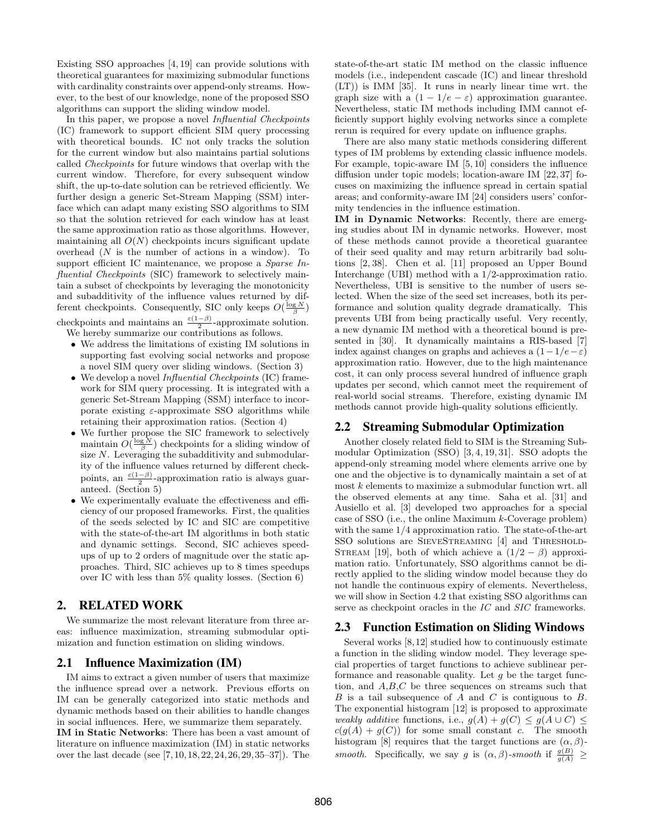Existing SSO approaches [4, 19] can provide solutions with theoretical guarantees for maximizing submodular functions with cardinality constraints over append-only streams. However, to the best of our knowledge, none of the proposed SSO algorithms can support the sliding window model.

In this paper, we propose a novel *Influential Checkpoints* (IC) framework to support efficient SIM query processing with theoretical bounds. IC not only tracks the solution for the current window but also maintains partial solutions called Checkpoints for future windows that overlap with the current window. Therefore, for every subsequent window shift, the up-to-date solution can be retrieved efficiently. We further design a generic Set-Stream Mapping (SSM) interface which can adapt many existing SSO algorithms to SIM so that the solution retrieved for each window has at least the same approximation ratio as those algorithms. However, maintaining all  $O(N)$  checkpoints incurs significant update overhead  $(N$  is the number of actions in a window). To support efficient IC maintenance, we propose a *Sparse In*fluential Checkpoints (SIC) framework to selectively maintain a subset of checkpoints by leveraging the monotonicity and subadditivity of the influence values returned by different checkpoints. Consequently, SIC only keeps  $O(\frac{\log N}{\beta})$ 

checkpoints and maintains an  $\frac{\varepsilon(1-\beta)}{2}$ -approximate solution. We hereby summarize our contributions as follows.

- We address the limitations of existing IM solutions in supporting fast evolving social networks and propose a novel SIM query over sliding windows. (Section 3)
- We develop a novel *Influential Checkpoints* (IC) framework for SIM query processing. It is integrated with a generic Set-Stream Mapping (SSM) interface to incorporate existing  $\varepsilon$ -approximate SSO algorithms while retaining their approximation ratios. (Section 4)
- We further propose the SIC framework to selectively maintain  $O(\frac{\log N}{\beta})$  checkpoints for a sliding window of size  $N$ . Leveraging the subadditivity and submodularity of the influence values returned by different checkpoints, an  $\frac{\varepsilon(1-\beta)}{2}$ -approximation ratio is always guar-2 anteed. (Section 5)
- We experimentally evaluate the effectiveness and efficiency of our proposed frameworks. First, the qualities of the seeds selected by IC and SIC are competitive with the state-of-the-art IM algorithms in both static and dynamic settings. Second, SIC achieves speedups of up to 2 orders of magnitude over the static approaches. Third, SIC achieves up to 8 times speedups over IC with less than 5% quality losses. (Section 6)

# 2. RELATED WORK

We summarize the most relevant literature from three areas: influence maximization, streaming submodular optimization and function estimation on sliding windows.

# 2.1 Influence Maximization (IM)

IM aims to extract a given number of users that maximize the influence spread over a network. Previous efforts on IM can be generally categorized into static methods and dynamic methods based on their abilities to handle changes in social influences. Here, we summarize them separately. IM in Static Networks: There has been a vast amount of literature on influence maximization (IM) in static networks over the last decade (see [7, 10, 18, 22, 24, 26, 29, 35–37]). The state-of-the-art static IM method on the classic influence models (i.e., independent cascade (IC) and linear threshold (LT)) is IMM [35]. It runs in nearly linear time wrt. the graph size with a  $(1 - 1/e - \varepsilon)$  approximation guarantee. Nevertheless, static IM methods including IMM cannot efficiently support highly evolving networks since a complete rerun is required for every update on influence graphs.

There are also many static methods considering different types of IM problems by extending classic influence models. For example, topic-aware IM [5, 10] considers the influence diffusion under topic models; location-aware IM [22, 37] focuses on maximizing the influence spread in certain spatial areas; and conformity-aware IM [24] considers users' conformity tendencies in the influence estimation.

IM in Dynamic Networks: Recently, there are emerging studies about IM in dynamic networks. However, most of these methods cannot provide a theoretical guarantee of their seed quality and may return arbitrarily bad solutions [2, 38]. Chen et al. [11] proposed an Upper Bound Interchange (UBI) method with a 1/2-approximation ratio. Nevertheless, UBI is sensitive to the number of users selected. When the size of the seed set increases, both its performance and solution quality degrade dramatically. This prevents UBI from being practically useful. Very recently, a new dynamic IM method with a theoretical bound is presented in [30]. It dynamically maintains a RIS-based [7] index against changes on graphs and achieves a  $(1-1/e-\varepsilon)$ approximation ratio. However, due to the high maintenance cost, it can only process several hundred of influence graph updates per second, which cannot meet the requirement of real-world social streams. Therefore, existing dynamic IM methods cannot provide high-quality solutions efficiently.

## 2.2 Streaming Submodular Optimization

Another closely related field to SIM is the Streaming Submodular Optimization (SSO) [3, 4, 19, 31]. SSO adopts the append-only streaming model where elements arrive one by one and the objective is to dynamically maintain a set of at most k elements to maximize a submodular function wrt. all the observed elements at any time. Saha et al. [31] and Ausiello et al. [3] developed two approaches for a special case of SSO (i.e., the online Maximum k-Coverage problem) with the same 1/4 approximation ratio. The state-of-the-art SSO solutions are SIEVESTREAMING [4] and THRESHOLD-STREAM [19], both of which achieve a  $(1/2 - \beta)$  approximation ratio. Unfortunately, SSO algorithms cannot be directly applied to the sliding window model because they do not handle the continuous expiry of elements. Nevertheless, we will show in Section 4.2 that existing SSO algorithms can serve as checkpoint oracles in the IC and SIC frameworks.

#### 2.3 Function Estimation on Sliding Windows

Several works [8,12] studied how to continuously estimate a function in the sliding window model. They leverage special properties of target functions to achieve sublinear performance and reasonable quality. Let  $g$  be the target function, and A,B,C be three sequences on streams such that  $B$  is a tail subsequence of  $A$  and  $C$  is contiguous to  $B$ . The exponential histogram [12] is proposed to approximate weakly additive functions, i.e.,  $g(A) + g(C) \leq g(A \cup C) \leq$  $c(g(A) + g(C))$  for some small constant c. The smooth histogram [8] requires that the target functions are  $(\alpha, \beta)$ smooth. Specifically, we say g is  $(\alpha, \beta)$ -smooth if  $\frac{g(B)}{g(A)} \ge$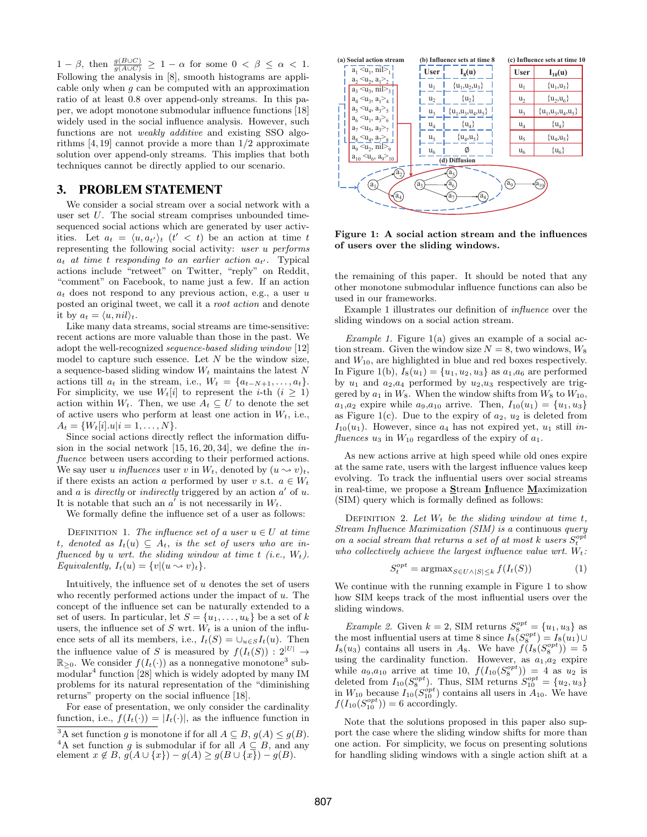$1 - \beta$ , then  $\frac{g(B \cup C)}{g(A \cup C)} \geq 1 - \alpha$  for some  $0 < \beta \leq \alpha < 1$ . Following the analysis in [8], smooth histograms are applicable only when g can be computed with an approximation ratio of at least 0.8 over append-only streams. In this paper, we adopt monotone submodular influence functions [18] widely used in the social influence analysis. However, such functions are not weakly additive and existing SSO algorithms [4, 19] cannot provide a more than 1/2 approximate solution over append-only streams. This implies that both techniques cannot be directly applied to our scenario.

## 3. PROBLEM STATEMENT

We consider a social stream over a social network with a user set U. The social stream comprises unbounded timesequenced social actions which are generated by user activities. Let  $a_t = \langle u, a_{t'} \rangle_t$   $(t' < t)$  be an action at time t representing the following social activity: user u performs  $a_t$  at time t responding to an earlier action  $a_{t'}$ . Typical actions include "retweet" on Twitter, "reply" on Reddit, "comment" on Facebook, to name just a few. If an action  $a_t$  does not respond to any previous action, e.g., a user u posted an original tweet, we call it a root action and denote it by  $a_t = \langle u, nil \rangle_t$ .

Like many data streams, social streams are time-sensitive: recent actions are more valuable than those in the past. We adopt the well-recognized sequence-based sliding window [12] model to capture such essence. Let  $N$  be the window size, a sequence-based sliding window  $W_t$  maintains the latest N actions till  $a_t$  in the stream, i.e.,  $W_t = \{a_{t-N+1}, \ldots, a_t\}.$ For simplicity, we use  $W_t[i]$  to represent the *i*-th  $(i \geq 1)$ action within  $W_t$ . Then, we use  $A_t \subseteq U$  to denote the set of active users who perform at least one action in  $W_t$ , i.e.,  $A_t = \{W_t[i] \cdot u | i = 1, \ldots, N\}.$ 

Since social actions directly reflect the information diffusion in the social network  $[15, 16, 20, 34]$ , we define the *in*fluence between users according to their performed actions. We say user u influences user v in  $W_t$ , denoted by  $(u \leadsto v)_t$ , if there exists an action a performed by user v s.t.  $a \in W_t$ and  $a$  is *directly* or *indirectly* triggered by an action  $a'$  of  $u$ . It is notable that such an  $a'$  is not necessarily in  $W_t$ .

We formally define the influence set of a user as follows:

DEFINITION 1. The influence set of a user  $u \in U$  at time t, denoted as  $I_t(u) \subseteq A_t$ , is the set of users who are influenced by u wrt. the sliding window at time  $t$  (i.e.,  $W_t$ ). Equivalently,  $I_t(u) = \{v | (u \leadsto v)_t\}.$ 

Intuitively, the influence set of  $u$  denotes the set of users who recently performed actions under the impact of  $u$ . The concept of the influence set can be naturally extended to a set of users. In particular, let  $S = \{u_1, \ldots, u_k\}$  be a set of k users, the influence set of  $S$  wrt.  $W_t$  is a union of the influence sets of all its members, i.e.,  $I_t(S) = \bigcup_{u \in S} I_t(u)$ . Then the influence value of S is measured by  $f(I_t(S)) : 2^{|U|} \rightarrow$  $\mathbb{R}_{\geq 0}$ . We consider  $f(I_t(\cdot))$  as a nonnegative monotone<sup>3</sup> submodular<sup>4</sup> function [28] which is widely adopted by many IM problems for its natural representation of the "diminishing returns" property on the social influence [18].

For ease of presentation, we only consider the cardinality function, i.e.,  $f(I_t(\cdot)) = |I_t(\cdot)|$ , as the influence function in



Figure 1: A social action stream and the influences of users over the sliding windows.

the remaining of this paper. It should be noted that any other monotone submodular influence functions can also be used in our frameworks.

Example 1 illustrates our definition of influence over the sliding windows on a social action stream.

Example 1. Figure  $1(a)$  gives an example of a social action stream. Given the window size  $N = 8$ , two windows,  $W_8$ and  $W_{10}$ , are highlighted in blue and red boxes respectively. In Figure 1(b),  $I_8(u_1) = \{u_1, u_2, u_3\}$  as  $a_1, a_6$  are performed by  $u_1$  and  $a_2, a_4$  performed by  $u_2, u_3$  respectively are triggered by  $a_1$  in  $W_8$ . When the window shifts from  $W_8$  to  $W_{10}$ ,  $a_1, a_2$  expire while  $a_9, a_{10}$  arrive. Then,  $I_{10}(u_1) = \{u_1, u_3\}$ as Figure 1(c). Due to the expiry of  $a_2$ ,  $u_2$  is deleted from  $I_{10}(u_1)$ . However, since  $a_4$  has not expired yet,  $u_1$  still influences  $u_3$  in  $W_{10}$  regardless of the expiry of  $a_1$ .

As new actions arrive at high speed while old ones expire at the same rate, users with the largest influence values keep evolving. To track the influential users over social streams in real-time, we propose a Stream Influence Maximization (SIM) query which is formally defined as follows:

DEFINITION 2. Let  $W_t$  be the sliding window at time t, Stream Influence Maximization (SIM) is a continuous query on a social stream that returns a set of at most k users  $S_t^{opt}$ who collectively achieve the largest influence value wrt.  $W_t$ :

$$
S_t^{opt} = \operatorname{argmax}_{S \in U \wedge |S| \le k} f(I_t(S)) \tag{1}
$$

We continue with the running example in Figure 1 to show how SIM keeps track of the most influential users over the sliding windows.

*Example 2.* Given  $k = 2$ , SIM returns  $S_8^{opt} = \{u_1, u_3\}$  as the most influential users at time 8 since  $I_8(S_8^{opt}) = I_8(u_1) \cup$  $I_8(u_3)$  contains all users in A<sub>8</sub>. We have  $f(I_8(S_8^{opt}))=5$  $u_8(u_3)$  contains an users in A<sub>8</sub>. We have  $f(x_8(u_8)) = 0$  using the cardinality function. However, as  $a_{1}, a_{2}$  expire while  $a_9, a_{10}$  arrive at time 10,  $f(I_{10}(S_8^{opt})) = 4$  as  $u_2$  is deleted from  $I_{10}(S_8^{opt})$ . Thus, SIM returns  $S_{10}^{opt} = \{u_2, u_3\}$ in  $W_{10}$  because  $I_{10}(S_{10}^{opt})$  contains all users in  $A_{10}$ . We have  $f(I_{10}(S_{10}^{opt}))=6$  accordingly.

Note that the solutions proposed in this paper also support the case where the sliding window shifts for more than one action. For simplicity, we focus on presenting solutions for handling sliding windows with a single action shift at a

<sup>&</sup>lt;sup>3</sup>A set function g is monotone if for all  $A \subseteq B$ ,  $g(A) \le g(B)$ . <sup>4</sup>A set function g is submodular if for all  $A \subseteq B$ , and any element  $x \notin B$ ,  $g(A \cup \{x\}) - g(A) \ge g(B \cup \{x\}) - g(B)$ .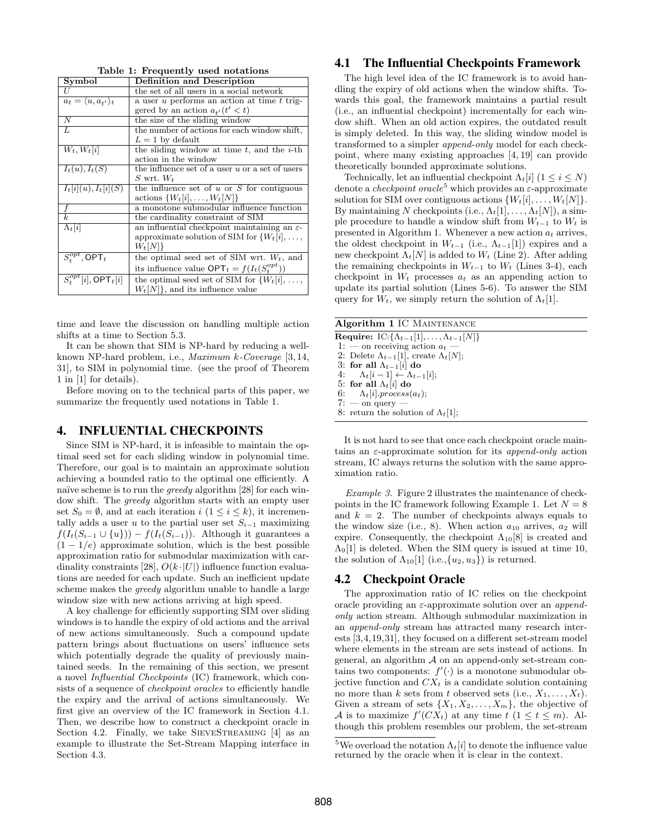Table 1: Frequently used notations

| Symbol                                  | <b>Definition and Description</b>                        |
|-----------------------------------------|----------------------------------------------------------|
|                                         | the set of all users in a social network                 |
| $a_t = \langle u, a_{t'} \rangle_t$     | a user u performs an action at time t trig-              |
|                                         | gered by an action $a_{t'}(t' < t)$                      |
| Ν                                       | the size of the sliding window                           |
| L                                       | the number of actions for each window shift,             |
|                                         | $L=1$ by default                                         |
| $W_t, W_t[i]$                           | the sliding window at time $t$ , and the <i>i</i> -th    |
|                                         | action in the window                                     |
| $I_t(u), I_t(S)$                        | the influence set of a user $u$ or a set of users        |
|                                         | S wrt. $W_t$                                             |
| $I_t[i](u), I_t[i](S)$                  | the influence set of $u$ or $S$ for contiguous           |
|                                         | actions $\{W_t[i], \ldots, W_t[N]\}\$                    |
|                                         | a monotone submodular influence function                 |
| $\overline{k}$                          | the cardinality constraint of SIM                        |
| $\Lambda_t[i]$                          | an influential checkpoint maintaining an $\varepsilon$ - |
|                                         | approximate solution of SIM for $\{W_t[i], \ldots,$      |
|                                         | $W_t[N]$                                                 |
| $\overline{S^{opt}_t, \textsf{OPT}_t}$  | the optimal seed set of SIM wrt. $W_t$ , and             |
|                                         | its influence value $\mathsf{OPT}_t = f(I_t(S_t^{opt}))$ |
| $\overline{S_t^{opt}[i]}$ , OPT $_t[i]$ | the optimal seed set of SIM for $\{W_t[i], \ldots,$      |
|                                         | $W_t[N]$ , and its influence value                       |

time and leave the discussion on handling multiple action shifts at a time to Section 5.3.

It can be shown that SIM is NP-hard by reducing a wellknown NP-hard problem, i.e., Maximum k-Coverage [3, 14, 31], to SIM in polynomial time. (see the proof of Theorem 1 in [1] for details).

Before moving on to the technical parts of this paper, we summarize the frequently used notations in Table 1.

# 4. INFLUENTIAL CHECKPOINTS

Since SIM is NP-hard, it is infeasible to maintain the optimal seed set for each sliding window in polynomial time. Therefore, our goal is to maintain an approximate solution achieving a bounded ratio to the optimal one efficiently. A naïve scheme is to run the *greedy* algorithm  $[28]$  for each window shift. The greedy algorithm starts with an empty user set  $S_0 = \emptyset$ , and at each iteration  $i (1 \leq i \leq k)$ , it incrementally adds a user u to the partial user set  $S_{i-1}$  maximizing  $f(I_t(S_{i-1} \cup \{u\})) - f(I_t(S_{i-1}))$ . Although it guarantees a  $(1 - 1/e)$  approximate solution, which is the best possible approximation ratio for submodular maximization with cardinality constraints [28],  $O(k \cdot |U|)$  influence function evaluations are needed for each update. Such an inefficient update scheme makes the greedy algorithm unable to handle a large window size with new actions arriving at high speed.

A key challenge for efficiently supporting SIM over sliding windows is to handle the expiry of old actions and the arrival of new actions simultaneously. Such a compound update pattern brings about fluctuations on users' influence sets which potentially degrade the quality of previously maintained seeds. In the remaining of this section, we present a novel Influential Checkpoints (IC) framework, which consists of a sequence of *checkpoint oracles* to efficiently handle the expiry and the arrival of actions simultaneously. We first give an overview of the IC framework in Section 4.1. Then, we describe how to construct a checkpoint oracle in Section 4.2. Finally, we take SIEVESTREAMING [4] as an example to illustrate the Set-Stream Mapping interface in Section 4.3.

# 4.1 The Influential Checkpoints Framework

The high level idea of the IC framework is to avoid handling the expiry of old actions when the window shifts. Towards this goal, the framework maintains a partial result (i.e., an influential checkpoint) incrementally for each window shift. When an old action expires, the outdated result is simply deleted. In this way, the sliding window model is transformed to a simpler append-only model for each checkpoint, where many existing approaches [4, 19] can provide theoretically bounded approximate solutions.

Technically, let an influential checkpoint  $\Lambda_t[i]$  (1  $\leq i \leq N$ ) denote a *checkpoint oracle*<sup>5</sup> which provides an  $\varepsilon$ -approximate solution for SIM over contiguous actions  $\{W_t[i], \ldots, W_t[N]\}.$ By maintaining N checkpoints (i.e.,  $\Lambda_t[1], \ldots, \Lambda_t[N]$ ), a simple procedure to handle a window shift from  $W_{t-1}$  to  $W_t$  is presented in Algorithm 1. Whenever a new action  $a_t$  arrives, the oldest checkpoint in  $W_{t-1}$  (i.e.,  $\Lambda_{t-1}[1]$ ) expires and a new checkpoint  $\Lambda_t[N]$  is added to  $W_t$  (Line 2). After adding the remaining checkpoints in  $W_{t-1}$  to  $W_t$  (Lines 3-4), each checkpoint in  $W_t$  processes  $a_t$  as an appending action to update its partial solution (Lines 5-6). To answer the SIM query for  $W_t$ , we simply return the solution of  $\Lambda_t[1]$ .

It is not hard to see that once each checkpoint oracle maintains an  $\varepsilon$ -approximate solution for its *append-only* action stream, IC always returns the solution with the same approximation ratio.

Example 3. Figure 2 illustrates the maintenance of checkpoints in the IC framework following Example 1. Let  $N = 8$ and  $k = 2$ . The number of checkpoints always equals to the window size (i.e., 8). When action  $a_{10}$  arrives,  $a_2$  will expire. Consequently, the checkpoint  $\Lambda_{10}[8]$  is created and  $\Lambda$ <sub>9</sub>[1] is deleted. When the SIM query is issued at time 10, the solution of  $\Lambda_{10}[1]$  (i.e.,  $\{u_2, u_3\}$ ) is returned.

#### 4.2 Checkpoint Oracle

The approximation ratio of IC relies on the checkpoint oracle providing an  $\varepsilon$ -approximate solution over an *append*only action stream. Although submodular maximization in an append-only stream has attracted many research interests [3,4,19,31], they focused on a different set-stream model where elements in the stream are sets instead of actions. In general, an algorithm  $A$  on an append-only set-stream contains two components:  $f'(\cdot)$  is a monotone submodular objective function and  $CX<sub>t</sub>$  is a candidate solution containing no more than k sets from t observed sets (i.e.,  $X_1, \ldots, X_t$ ). Given a stream of sets  $\{X_1, X_2, \ldots, X_m\}$ , the objective of A is to maximize  $f'(CX_t)$  at any time  $t (1 \leq t \leq m)$ . Although this problem resembles our problem, the set-stream

<sup>&</sup>lt;sup>5</sup>We overload the notation  $\Lambda_t[i]$  to denote the influence value returned by the oracle when it is clear in the context.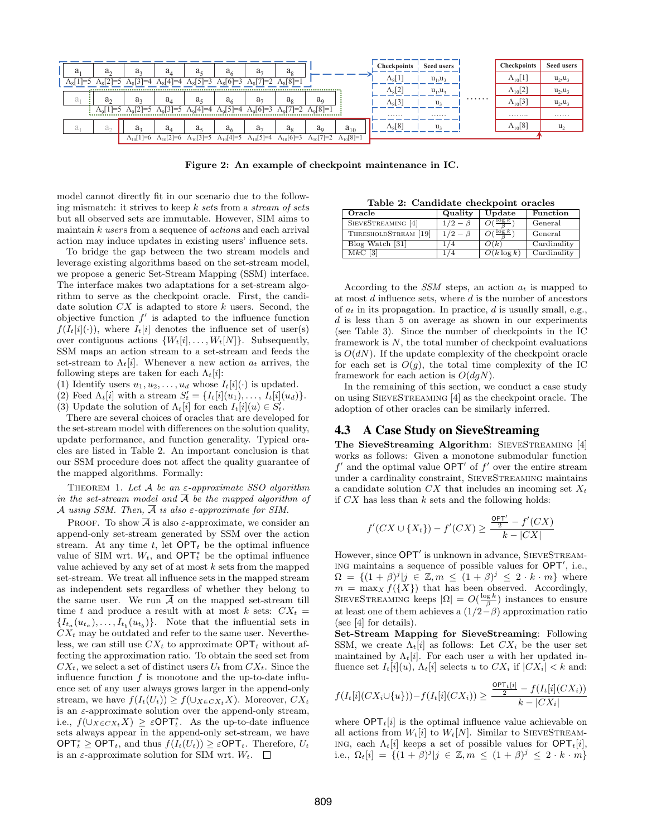

Figure 2: An example of checkpoint maintenance in IC.

model cannot directly fit in our scenario due to the following mismatch: it strives to keep  $k$  sets from a stream of sets but all observed sets are immutable. However, SIM aims to maintain  $k$  users from a sequence of *actions* and each arrival action may induce updates in existing users' influence sets.

To bridge the gap between the two stream models and leverage existing algorithms based on the set-stream model, we propose a generic Set-Stream Mapping (SSM) interface. The interface makes two adaptations for a set-stream algorithm to serve as the checkpoint oracle. First, the candidate solution  $CX$  is adapted to store  $k$  users. Second, the objective function  $f'$  is adapted to the influence function  $f(I_t[i](\cdot))$ , where  $I_t[i]$  denotes the influence set of user(s) over contiguous actions  $\{W_t[i], \ldots, W_t[N]\}$ . Subsequently, SSM maps an action stream to a set-stream and feeds the set-stream to  $\Lambda_t[i]$ . Whenever a new action  $a_t$  arrives, the following steps are taken for each  $\Lambda_t[i]$ :

(1) Identify users  $u_1, u_2, \ldots, u_d$  whose  $I_t[i](\cdot)$  is updated.

(2) Feed  $\Lambda_t[i]$  with a stream  $S'_t = \{I_t[i](u_1), \ldots, I_t[i](u_d)\}.$ (3) Update the solution of  $\Lambda_t[i]$  for each  $I_t[i](u) \in S'_t$ .

There are several choices of oracles that are developed for the set-stream model with differences on the solution quality, update performance, and function generality. Typical oracles are listed in Table 2. An important conclusion is that our SSM procedure does not affect the quality guarantee of the mapped algorithms. Formally:

THEOREM 1. Let  $A$  be an  $\varepsilon$ -approximate SSO algorithm in the set-stream model and  $\overline{A}$  be the mapped algorithm of A using SSM. Then,  $\overline{A}$  is also  $\varepsilon$ -approximate for SIM.

PROOF. To show  $\overline{A}$  is also  $\varepsilon$ -approximate, we consider an append-only set-stream generated by SSM over the action stream. At any time t, let  $\mathsf{OPT}_t$  be the optimal influence value of SIM wrt.  $W_t$ , and OPT<sup>\*</sup><sub>t</sub> be the optimal influence value achieved by any set of at most  $k$  sets from the mapped set-stream. We treat all influence sets in the mapped stream as independent sets regardless of whether they belong to the same user. We run  $\overline{A}$  on the mapped set-stream till time t and produce a result with at most k sets:  $CX_t =$  $\{I_{t_a}(u_{t_a}),\ldots,I_{t_b}(u_{t_b})\}$ . Note that the influential sets in  $CX<sub>t</sub>$  may be outdated and refer to the same user. Nevertheless, we can still use  $CX_t$  to approximate  $\mathsf{OPT}_t$  without affecting the approximation ratio. To obtain the seed set from  $CX_t$ , we select a set of distinct users  $U_t$  from  $CX_t$ . Since the influence function  $f$  is monotone and the up-to-date influence set of any user always grows larger in the append-only stream, we have  $f(I_t(U_t)) \geq f(\cup_{X \in CX_t} X)$ . Moreover,  $CX_t$ is an  $\varepsilon$ -approximate solution over the append-only stream, i.e.,  $f(\cup_{X \in CX_t} X) \geq \varepsilon \mathsf{OPT}_t^*$ . As the up-to-date influence sets always appear in the append-only set-stream, we have  $OPT_t^* \geq OPT_t$ , and thus  $f(I_t(U_t)) \geq \varepsilon OPT_t$ . Therefore,  $U_t$ is an  $\varepsilon$ -approximate solution for SIM wrt.  $W_t$ .  $\square$ 

Table 2: Candidate checkpoint oracles

| Oracle                        | Quality       | Update        | Function    |
|-------------------------------|---------------|---------------|-------------|
| SIEVESTREAMING [4]            | $1/2 - \beta$ | $\log k$      | General     |
| THRESHOLDSTREAM [19]          | $1/2 - \beta$ | $\log k$      | General     |
| Blog Watch [31]               |               | O(k)          | Cardinality |
| $\mathrm{M}k\mathrm{C}$<br> 3 |               | $O(k \log k)$ | Cardinality |

According to the  $SSM$  steps, an action  $a_t$  is mapped to at most d influence sets, where d is the number of ancestors of  $a_t$  in its propagation. In practice, d is usually small, e.g.,  $d$  is less than 5 on average as shown in our experiments (see Table 3). Since the number of checkpoints in the IC framework is  $N$ , the total number of checkpoint evaluations is  $O(dN)$ . If the update complexity of the checkpoint oracle for each set is  $O(g)$ , the total time complexity of the IC framework for each action is  $O(dqN)$ .

In the remaining of this section, we conduct a case study on using SieveStreaming [4] as the checkpoint oracle. The adoption of other oracles can be similarly inferred.

# 4.3 A Case Study on SieveStreaming

The SieveStreaming Algorithm: SIEVESTREAMING [4] works as follows: Given a monotone submodular function  $f'$  and the optimal value OPT' of  $f'$  over the entire stream under a cardinality constraint, SieveStreaming maintains a candidate solution  $CX$  that includes an incoming set  $X_t$ if  $CX$  has less than  $k$  sets and the following holds:

$$
f'(CX \cup \{X_t\}) - f'(CX) \ge \frac{\frac{OPT'}{2} - f'(CX)}{k - |CX|}
$$

However, since OPT' is unknown in advance, SIEVESTREAM-ING maintains a sequence of possible values for OPT', i.e.,  $\Omega = \{ (1+\beta)^j | j \in \mathbb{Z}, m \leq (1+\beta)^j \leq 2 \cdot k \cdot m \}$  where  $m = \max_{X} f({X})$  that has been observed. Accordingly, SIEVESTREAMING keeps  $|\Omega| = O(\frac{\log k}{\beta})$  instances to ensure at least one of them achieves a  $(1/2-\beta)$  approximation ratio (see [4] for details).

Set-Stream Mapping for SieveStreaming: Following SSM, we create  $\Lambda_t[i]$  as follows: Let  $CX_i$  be the user set maintained by  $\Lambda_t[i]$ . For each user u with her updated influence set  $I_t[i](u)$ ,  $\Lambda_t[i]$  selects u to  $CX_i$  if  $|CX_i| < k$  and:

$$
f(I_t[i](CX_i \cup \{u\})) - f(I_t[i](CX_i)) \ge \frac{\frac{\text{OPT}_t[i]}{2} - f(I_t[i](CX_i))}{k - |CX_i|}
$$

where  $\text{OPT}_t[i]$  is the optimal influence value achievable on all actions from  $W_t[i]$  to  $W_t[N]$ . Similar to SIEVESTREAMing, each  $\Lambda_t[i]$  keeps a set of possible values for  $\text{OPT}_t[i]$ , i.e.,  $\Omega_t[i] = \{ (1 + \beta)^j | j \in \mathbb{Z}, m \leq (1 + \beta)^j \leq 2 \cdot k \cdot m \}$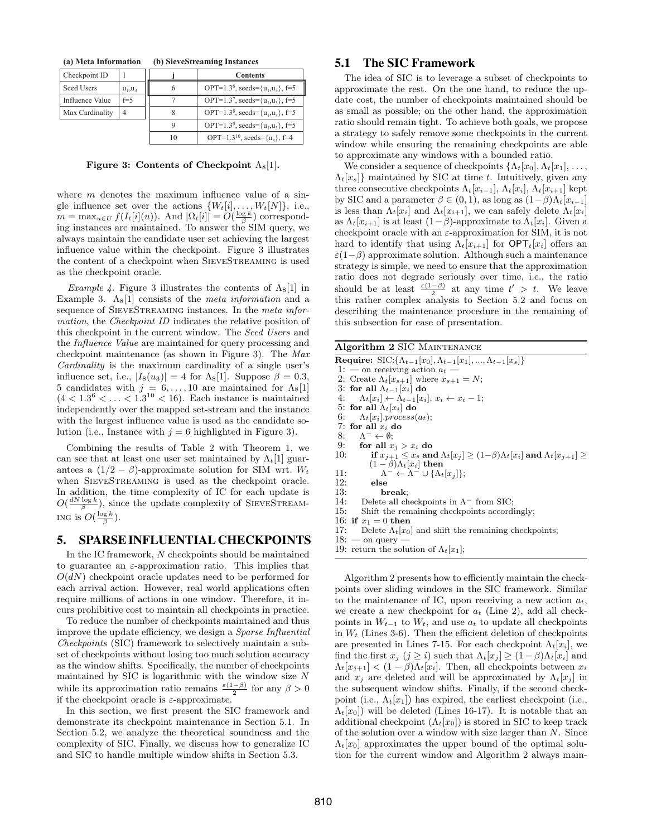**(a) Meta Information (b) SieveStreaming Instances**

| Checkpoint ID   |            |    | <b>Contents</b>                                    |
|-----------------|------------|----|----------------------------------------------------|
| Seed Users      | $u_1, u_3$ |    | OPT=1.3 <sup>6</sup> , seeds= $\{u_1, u_3\}$ , f=5 |
| Influence Value | $f = 5$    |    | OPT=1.3 <sup>7</sup> , seeds= $\{u_1, u_3\}$ , f=5 |
| Max Cardinality |            |    | OPT=1.3 <sup>8</sup> , seeds= $\{u_1, u_3\}$ , f=5 |
|                 |            | Q  | OPT=1.3 <sup>9</sup> , seeds= $\{u_1, u_3\}$ , f=5 |
|                 |            | 10 | OPT=1.3 <sup>10</sup> , seeds= $\{u_3\}$ , f=4     |

#### Figure 3: Contents of Checkpoint  $\Lambda_8[1]$ .

where  $m$  denotes the maximum influence value of a single influence set over the actions  $\{W_t[i], \ldots, W_t[N]\},$  i.e.,  $m = \max_{u \in U} f(I_t[i](u))$ . And  $|\Omega_t[i]| = O(\frac{\log k}{\beta})$  corresponding instances are maintained. To answer the SIM query, we always maintain the candidate user set achieving the largest influence value within the checkpoint. Figure 3 illustrates the content of a checkpoint when SieveStreaming is used as the checkpoint oracle.

*Example 4.* Figure 3 illustrates the contents of  $\Lambda_8[1]$  in Example 3.  $\Lambda_8[1]$  consists of the *meta information* and a sequence of SIEVESTREAMING instances. In the meta information, the Checkpoint ID indicates the relative position of this checkpoint in the current window. The Seed Users and the Influence Value are maintained for query processing and checkpoint maintenance (as shown in Figure 3). The Max Cardinality is the maximum cardinality of a single user's influence set, i.e.,  $|I_8(u_3)| = 4$  for  $\Lambda_8[1]$ . Suppose  $\beta = 0.3$ , 5 candidates with  $j = 6, ..., 10$  are maintained for  $\Lambda_8[1]$  $(4 < 1.3^{6} < ... < 1.3^{10} < 16)$ . Each instance is maintained independently over the mapped set-stream and the instance with the largest influence value is used as the candidate solution (i.e., Instance with  $j = 6$  highlighted in Figure 3).

Combining the results of Table 2 with Theorem 1, we can see that at least one user set maintained by  $\Lambda_t[1]$  guarantees a  $(1/2 - \beta)$ -approximate solution for SIM wrt.  $W_t$ when SIEVESTREAMING is used as the checkpoint oracle. In addition, the time complexity of IC for each update is  $O(\frac{dN \log k}{\beta})$ , since the update complexity of SIEVESTREAM-ING is  $O(\frac{\log k}{\beta})$ .

# 5. SPARSE INFLUENTIAL CHECKPOINTS

In the IC framework, N checkpoints should be maintained to guarantee an  $\varepsilon$ -approximation ratio. This implies that  $O(dN)$  checkpoint oracle updates need to be performed for each arrival action. However, real world applications often require millions of actions in one window. Therefore, it incurs prohibitive cost to maintain all checkpoints in practice.

To reduce the number of checkpoints maintained and thus improve the update efficiency, we design a Sparse Influential Checkpoints (SIC) framework to selectively maintain a subset of checkpoints without losing too much solution accuracy as the window shifts. Specifically, the number of checkpoints maintained by SIC is logarithmic with the window size  $N$ while its approximation ratio remains  $\frac{\varepsilon(1-\beta)}{2}$  for any  $\beta > 0$ if the checkpoint oracle is  $\varepsilon$ -approximate.

In this section, we first present the SIC framework and demonstrate its checkpoint maintenance in Section 5.1. In Section 5.2, we analyze the theoretical soundness and the complexity of SIC. Finally, we discuss how to generalize IC and SIC to handle multiple window shifts in Section 5.3.

## 5.1 The SIC Framework

The idea of SIC is to leverage a subset of checkpoints to approximate the rest. On the one hand, to reduce the update cost, the number of checkpoints maintained should be as small as possible; on the other hand, the approximation ratio should remain tight. To achieve both goals, we propose a strategy to safely remove some checkpoints in the current window while ensuring the remaining checkpoints are able to approximate any windows with a bounded ratio.

We consider a sequence of checkpoints  $\{\Lambda_t[x_0], \Lambda_t[x_1], \ldots,$  $\Lambda_t[x_s]$  maintained by SIC at time t. Intuitively, given any three consecutive checkpoints  $\Lambda_t[x_{i-1}], \Lambda_t[x_i], \Lambda_t[x_{i+1}]$  kept by SIC and a parameter  $\beta \in (0, 1)$ , as long as  $(1-\beta)\Lambda_t[x_{i-1}]$ is less than  $\Lambda_t[x_i]$  and  $\Lambda_t[x_{i+1}]$ , we can safely delete  $\Lambda_t[x_i]$ as  $\Lambda_t[x_{i+1}]$  is at least  $(1-\beta)$ -approximate to  $\Lambda_t[x_i]$ . Given a checkpoint oracle with an  $\varepsilon$ -approximation for SIM, it is not hard to identify that using  $\Lambda_t[x_{i+1}]$  for  $\mathsf{OPT}_t[x_i]$  offers an  $\varepsilon(1-\beta)$  approximate solution. Although such a maintenance strategy is simple, we need to ensure that the approximation ratio does not degrade seriously over time, i.e., the ratio should be at least  $\frac{\varepsilon(1-\beta)}{2}$  at any time  $t' > t$ . We leave this rather complex analysis to Section 5.2 and focus on describing the maintenance procedure in the remaining of this subsection for ease of presentation.

| Algorithm 2 SIC MAINTENANCE                                                                                  |
|--------------------------------------------------------------------------------------------------------------|
| <b>Require:</b> SIC: $\{\Lambda_{t-1}[x_0], \Lambda_{t-1}[x_1], , \Lambda_{t-1}[x_s]\}$                      |
| 1: — on receiving action $a_t$ -                                                                             |
| 2: Create $\Lambda_t  x_{s+1} $ where $x_{s+1} = N$ ;                                                        |
| 3: for all $\Lambda_{t-1}[x_i]$ do                                                                           |
| $\Lambda_t[x_i] \leftarrow \Lambda_{t-1}[x_i], x_i \leftarrow x_i - 1;$<br>4:                                |
| 5: for all $\Lambda_t[x_i]$ do                                                                               |
| 6: $\Lambda_t[x_i].process(a_t);$                                                                            |
| 7: for all $x_i$ do                                                                                          |
| 8: $\Lambda^- \leftarrow \emptyset$ :                                                                        |
| 9: for all $x_j > x_i$ do                                                                                    |
| 10:<br>if $x_{j+1} \leq x_s$ and $\Lambda_t[x_j] \geq (1-\beta)\Lambda_t[x_i]$ and $\Lambda_t[x_{j+1}] \geq$ |
| $(1-\beta)\Lambda_t[x_i]$ then                                                                               |
| 11:<br>$\Lambda^{-} \leftarrow \Lambda^{-} \cup \{\Lambda_t[x_i]\};$                                         |
| 12:<br>else                                                                                                  |
| 13:<br>break:                                                                                                |
| 14: Delete all checkpoints in $\Lambda^-$ from SIC;                                                          |
| 15:<br>Shift the remaining checkpoints accordingly.                                                          |
| 16: if $x_1 = 0$ then                                                                                        |
| 17:<br>Delete $\Lambda_t  x_0 $ and shift the remaining checkpoints;                                         |
| $18:$ — on query —                                                                                           |
| 19: return the solution of $\Lambda_t  x_1 $ ;                                                               |
|                                                                                                              |
|                                                                                                              |
| Algorithm 2 presents how to efficiently maintain the check-                                                  |
| points over sliding windows in the SIC framework. Similar                                                    |

to the maintenance of IC, upon receiving a new action  $a_t$ , we create a new checkpoint for  $a_t$  (Line 2), add all checkpoints in  $W_{t-1}$  to  $W_t$ , and use  $a_t$  to update all checkpoints in  $W_t$  (Lines 3-6). Then the efficient deletion of checkpoints are presented in Lines 7-15. For each checkpoint  $\Lambda_t[x_i]$ , we find the first  $x_j$   $(j \geq i)$  such that  $\Lambda_t[x_j] \geq (1 - \beta)\Lambda_t[x_i]$  and  $\Lambda_t[x_{j+1}] < (1-\beta)\Lambda_t[x_i]$ . Then, all checkpoints between  $x_i$ and  $x_i$  are deleted and will be approximated by  $\Lambda_t[x_i]$  in the subsequent window shifts. Finally, if the second checkpoint (i.e.,  $\Lambda_t[x_1]$ ) has expired, the earliest checkpoint (i.e.,  $\Lambda_t[x_0]$ ) will be deleted (Lines 16-17). It is notable that an additional checkpoint  $(\Lambda_t[x_0])$  is stored in SIC to keep track of the solution over a window with size larger than N. Since  $\Lambda_t[x_0]$  approximates the upper bound of the optimal solution for the current window and Algorithm 2 always main-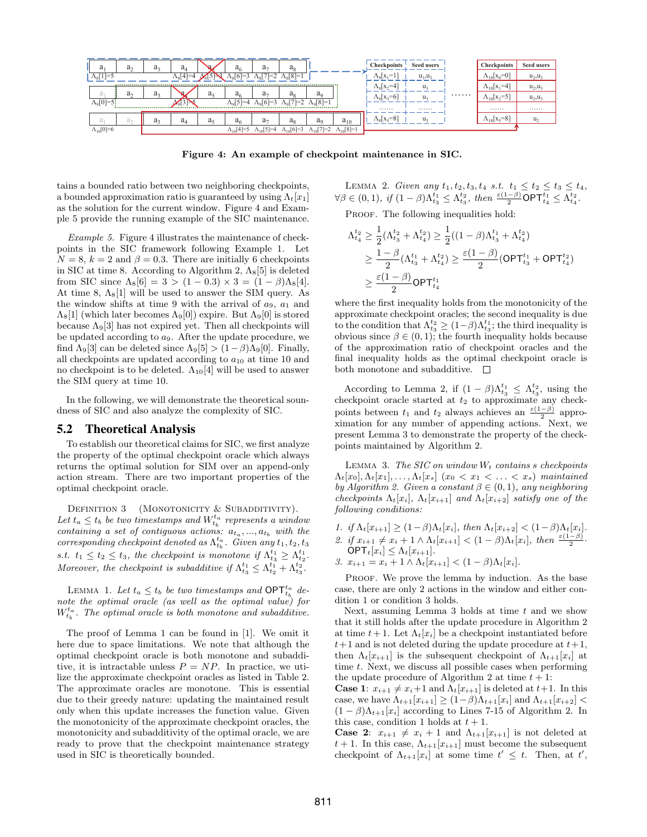

Figure 4: An example of checkpoint maintenance in SIC.

tains a bounded ratio between two neighboring checkpoints, a bounded approximation ratio is guaranteed by using  $\Lambda_t[x_1]$ as the solution for the current window. Figure 4 and Example 5 provide the running example of the SIC maintenance.

Example 5. Figure 4 illustrates the maintenance of checkpoints in the SIC framework following Example 1. Let  $N = 8$ ,  $k = 2$  and  $\beta = 0.3$ . There are initially 6 checkpoints in SIC at time 8. According to Algorithm 2,  $\Lambda_8[5]$  is deleted from SIC since  $\Lambda_8[6] = 3 > (1 - 0.3) \times 3 = (1 - \beta)\Lambda_8[4]$ . At time 8,  $\Lambda_8[1]$  will be used to answer the SIM query. As the window shifts at time 9 with the arrival of  $a_9$ ,  $a_1$  and  $\Lambda_8[1]$  (which later becomes  $\Lambda_9[0]$ ) expire. But  $\Lambda_9[0]$  is stored because  $\Lambda_{9}[3]$  has not expired yet. Then all checkpoints will be updated according to  $a_9$ . After the update procedure, we find  $\Lambda_9[3]$  can be deleted since  $\Lambda_9[5] > (1-\beta)\Lambda_9[0]$ . Finally, all checkpoints are updated according to  $a_{10}$  at time 10 and no checkpoint is to be deleted.  $\Lambda_{10}[4]$  will be used to answer the SIM query at time 10.

In the following, we will demonstrate the theoretical soundness of SIC and also analyze the complexity of SIC.

## 5.2 Theoretical Analysis

To establish our theoretical claims for SIC, we first analyze the property of the optimal checkpoint oracle which always returns the optimal solution for SIM over an append-only action stream. There are two important properties of the optimal checkpoint oracle.

DEFINITION  $3$  (MONOTONICITY  $\&$  SUBADDITIVITY). Let  $t_a \leq t_b$  be two timestamps and  $W_{t_b}^{t_a}$  represents a window containing a set of contiguous actions:  $a_{t_a},...,a_{t_b}$  with the  $corresponding \, \textit{checkpoint} \, \textit{denoted as} \, \Lambda^{t_a}_{t_b}. \, \textit{Given any} \, t_1, t_2, t_3$ s.t.  $t_1 \leq t_2 \leq t_3$ , the checkpoint is monotone if  $\Lambda_{t_3}^{t_1} \geq \Lambda_{t_2}^{t_1}$ . Moreover, the checkpoint is subadditive if  $\Lambda_{t_3}^{t_1} \leq \Lambda_{t_2}^{t_1} + \Lambda_{t_3}^{t_2}$ .

LEMMA 1. Let  $t_a \leq t_b$  be two timestamps and  $\mathsf{OPT}^{t_a}_{t_b}$  denote the optimal oracle (as well as the optimal value) for  $W_{t_b}^{t_a}$ . The optimal oracle is both monotone and subadditive.

The proof of Lemma 1 can be found in [1]. We omit it here due to space limitations. We note that although the optimal checkpoint oracle is both monotone and subadditive, it is intractable unless  $P = NP$ . In practice, we utilize the approximate checkpoint oracles as listed in Table 2. The approximate oracles are monotone. This is essential due to their greedy nature: updating the maintained result only when this update increases the function value. Given the monotonicity of the approximate checkpoint oracles, the monotonicity and subadditivity of the optimal oracle, we are ready to prove that the checkpoint maintenance strategy used in SIC is theoretically bounded.

LEMMA 2. Given any  $t_1, t_2, t_3, t_4$  s.t.  $t_1 \le t_2 \le t_3 \le t_4$ ,  $\forall \beta \in (0,1), \text{ if } (1-\beta)\Lambda_{t_3}^{t_1} \leq \Lambda_{t_3}^{t_2}, \text{ then } \frac{\varepsilon(1-\beta)}{2} \textsf{OPT}_{t_4}^{t_1} \leq \Lambda_{t_4}^{t_2}.$ 

PROOF. The following inequalities hold:

$$
\begin{aligned} \Lambda^{t_2}_{t_4} &\geq \frac{1}{2}(\Lambda^{t_2}_{t_3}+\Lambda^{t_2}_{t_4}) \geq \frac{1}{2}((1-\beta)\Lambda^{t_1}_{t_3}+\Lambda^{t_2}_{t_4}) \\ &\geq \frac{1-\beta}{2}(\Lambda^{t_1}_{t_3}+\Lambda^{t_2}_{t_4}) \geq \frac{\varepsilon(1-\beta)}{2}(\mathsf{OPT}^{t_1}_{t_3}+\mathsf{OPT}^{t_2}_{t_4}) \\ &\geq \frac{\varepsilon(1-\beta)}{2}\mathsf{OPT}^{t_1}_{t_4} \end{aligned}
$$

where the first inequality holds from the monotonicity of the approximate checkpoint oracles; the second inequality is due to the condition that  $\Lambda_{t_3}^{t_2} \geq (1-\beta)\Lambda_{t_3}^{t_1}$ ; the third inequality is obvious since  $\beta \in (0,1)$ ; the fourth inequality holds because of the approximation ratio of checkpoint oracles and the final inequality holds as the optimal checkpoint oracle is both monotone and subadditive.  $\square$ 

According to Lemma 2, if  $(1 - \beta)\Lambda_{t_3}^{t_1} \leq \Lambda_{t_3}^{t_2}$ , using the checkpoint oracle started at  $t_2$  to approximate any checkpoints between  $t_1$  and  $t_2$  always achieves an  $\frac{\varepsilon(1-\beta)}{2}$  approximation for any number of appending actions. Next, we present Lemma 3 to demonstrate the property of the checkpoints maintained by Algorithm 2.

LEMMA 3. The SIC on window  $W_t$  contains s checkpoints  $\Lambda_t[x_0], \Lambda_t[x_1], \ldots, \Lambda_t[x_s]$   $(x_0 < x_1 < \ldots < x_s)$  maintained by Algorithm 2. Given a constant  $\beta \in (0,1)$ , any neighboring checkpoints  $\Lambda_t[x_i]$ ,  $\Lambda_t[x_{i+1}]$  and  $\Lambda_t[x_{i+2}]$  satisfy one of the following conditions:

1. if  $\Lambda_t[x_{i+1}] \geq (1-\beta)\Lambda_t[x_i]$ , then  $\Lambda_t[x_{i+2}] < (1-\beta)\Lambda_t[x_i]$ . 2. if  $x_{i+1} \neq x_i + 1 \wedge \Lambda_t[x_{i+1}] < (1 - \beta)\Lambda_t[x_i]$ , then  $\frac{\varepsilon(1-\beta)}{2}$ .

 $\overline{\text{OPT}_t}[x_i] \leq \Lambda_t[x_{i+1}].$ 3.  $x_{i+1} = x_i + 1 \wedge \Lambda_t[x_{i+1}] < (1 - \beta)\Lambda_t[x_i]$ .

PROOF. We prove the lemma by induction. As the base case, there are only 2 actions in the window and either condition 1 or condition 3 holds.

Next, assuming Lemma 3 holds at time  $t$  and we show that it still holds after the update procedure in Algorithm 2 at time  $t + 1$ . Let  $\Lambda_t[x_i]$  be a checkpoint instantiated before  $t+1$  and is not deleted during the update procedure at  $t+1$ , then  $\Lambda_t[x_{i+1}]$  is the subsequent checkpoint of  $\Lambda_{t+1}[x_i]$  at time t. Next, we discuss all possible cases when performing the update procedure of Algorithm 2 at time  $t + 1$ :

**Case 1:**  $x_{i+1} \neq x_i+1$  and  $\Lambda_t[x_{i+1}]$  is deleted at  $t+1$ . In this case, we have  $\Lambda_{t+1}[x_{i+1}] \geq (1-\beta)\Lambda_{t+1}[x_i]$  and  $\Lambda_{t+1}[x_{i+2}]$  $(1 - \beta)\Lambda_{t+1}[x_i]$  according to Lines 7-15 of Algorithm 2. In this case, condition 1 holds at  $t + 1$ .

**Case 2:**  $x_{i+1} \neq x_i + 1$  and  $\Lambda_{t+1}[x_{i+1}]$  is not deleted at  $t+1$ . In this case,  $\Lambda_{t+1}[x_{i+1}]$  must become the subsequent checkpoint of  $\Lambda_{t+1}[x_i]$  at some time  $t' \leq t$ . Then, at  $t'$ ,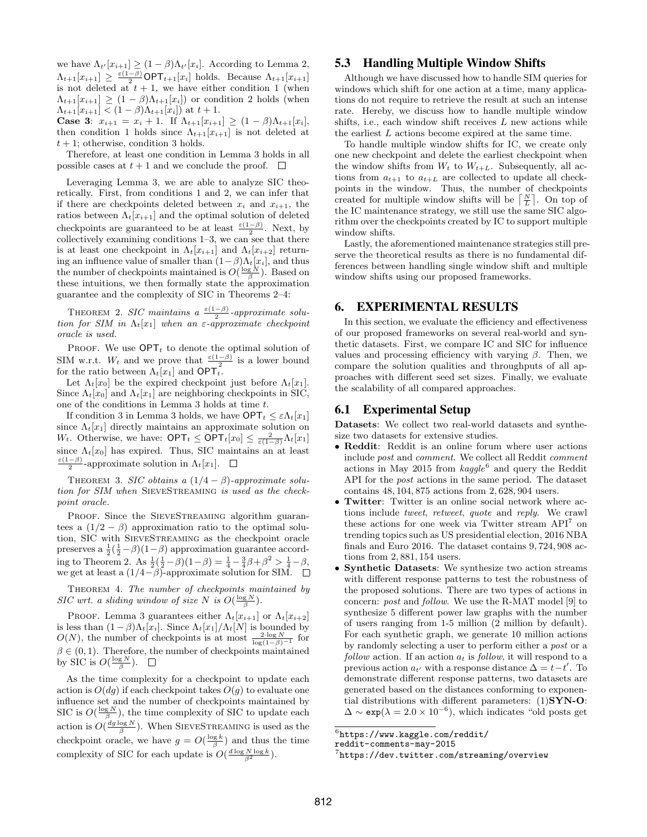we have  $\Lambda_{t'}[x_{i+1}] \geq (1-\beta)\Lambda_{t'}[x_i]$ . According to Lemma 2,  $\Lambda_{t+1}[x_{i+1}] \geq \frac{\varepsilon(1-\beta)}{2} \textsf{OPT}_{t+1}[x_i]$  holds. Because  $\Lambda_{t+1}[x_{i+1}]$ is not deleted at  $t + 1$ , we have either condition 1 (when  $\Lambda_{t+1}[x_{i+1}] \geq (1-\beta)\Lambda_{t+1}[x_i]$  or condition 2 holds (when  $\Lambda_{t+1}[x_{i+1}] < (1-\beta)\Lambda_{t+1}[x_i]$  at  $t+1$ .

Case 3:  $x_{i+1} = x_i + 1$ . If  $\Lambda_{t+1}[x_{i+1}] \geq (1 - \beta)\Lambda_{t+1}[x_i]$ , then condition 1 holds since  $\Lambda_{t+1}[x_{i+1}]$  is not deleted at  $t + 1$ ; otherwise, condition 3 holds.

Therefore, at least one condition in Lemma 3 holds in all possible cases at  $t + 1$  and we conclude the proof.  $\Box$ 

Leveraging Lemma 3, we are able to analyze SIC theoretically. First, from conditions 1 and 2, we can infer that if there are checkpoints deleted between  $x_i$  and  $x_{i+1}$ , the ratios between  $\Lambda_t[x_{i+1}]$  and the optimal solution of deleted checkpoints are guaranteed to be at least  $\frac{\varepsilon(1-\beta)}{2}$ . Next, by collectively examining conditions  $1-3$ , we can see that there is at least one checkpoint in  $\Lambda_t[x_{i+1}]$  and  $\Lambda_t[x_{i+2}]$  returning an influence value of smaller than  $(1-\beta)\Lambda_t[x_i]$ , and thus the number of checkpoints maintained is  $O(\frac{\log N}{\beta})$ . Based on these intuitions, we then formally state the approximation guarantee and the complexity of SIC in Theorems 2–4:

THEOREM 2. SIC maintains a  $\frac{\varepsilon(1-\beta)}{2}$ -approximate solution for SIM in  $\Lambda_t[x_1]$  when an  $\varepsilon$ -approximate checkpoint oracle is used.

PROOF. We use  $\mathsf{OPT}_t$  to denote the optimal solution of SIM w.r.t.  $W_t$  and we prove that  $\frac{\varepsilon(1-\beta)}{2}$  is a lower bound for the ratio between  $\Lambda_t[x_1]$  and  $\text{OPT}_t$ .

Let  $\Lambda_t[x_0]$  be the expired checkpoint just before  $\Lambda_t[x_1]$ . Since  $\Lambda_t[x_0]$  and  $\Lambda_t[x_1]$  are neighboring checkpoints in SIC, one of the conditions in Lemma 3 holds at time t.

If condition 3 in Lemma 3 holds, we have  $\mathsf{OPT}_t \leq \varepsilon \Lambda_t[x_1]$ since  $\Lambda_t[x_1]$  directly maintains an approximate solution on W<sub>t</sub>. Otherwise, we have:  $\mathsf{OPT}_t \leq \mathsf{OPT}_t[x_0] \leq \frac{2}{\varepsilon(1-\beta)} \Lambda_t[x_1]$ since  $\Lambda_t[x_0]$  has expired. Thus, SIC maintains an at least  $\frac{\varepsilon(1-\beta)}{2}$ -approximate solution in  $\Lambda_t[x_1]$ .

THEOREM 3. SIC obtains a  $(1/4 - \beta)$ -approximate solution for SIM when SIEVESTREAMING is used as the checkpoint oracle.

PROOF. Since the SIEVESTREAMING algorithm guarantees a  $(1/2 - \beta)$  approximation ratio to the optimal solution, SIC with SieveStreaming as the checkpoint oracle preserves a  $\frac{1}{2}(\frac{1}{2}-\beta)(1-\beta)$  approximation guarantee according to Theorem 2. As  $\frac{1}{2}(\frac{1}{2}-\beta)(1-\beta) = \frac{1}{4} - \frac{3}{4}\beta + \beta^2 > \frac{1}{4} - \beta$ , we get at least a  $(1/4-*\beta*)$ -approximate solution for SIM.

THEOREM 4. The number of checkpoints maintained by SIC wrt. a sliding window of size N is  $O(\frac{\log N}{\beta})$ .

PROOF. Lemma 3 guarantees either  $\Lambda_t[x_{i+1}]$  or  $\Lambda_t[x_{i+2}]$ is less than  $(1 - \beta)\Lambda_t[x_i]$ . Since  $\Lambda_t[x_1]/\Lambda_t[N]$  is bounded by  $O(N)$ , the number of checkpoints is at most  $\frac{2 \log N}{\log(1-\beta)^{-1}}$  for  $\beta \in (0,1)$ . Therefore, the number of checkpoints maintained by SIC is  $O(\frac{\log N}{\beta})$ .

As the time complexity for a checkpoint to update each action is  $O(dg)$  if each checkpoint takes  $O(g)$  to evaluate one influence set and the number of checkpoints maintained by SIC is  $O(\frac{\log N}{\beta})$ , the time complexity of SIC to update each action is  $O(\frac{dg \log N}{\beta})$ . When SIEVESTREAMING is used as the checkpoint oracle, we have  $g = O(\frac{\log k}{\beta})$  and thus the time complexity of SIC for each update is  $O(\frac{d \log N \log k}{\beta^2})$ .

# 5.3 Handling Multiple Window Shifts

Although we have discussed how to handle SIM queries for windows which shift for one action at a time, many applications do not require to retrieve the result at such an intense rate. Hereby, we discuss how to handle multiple window shifts, i.e., each window shift receives  $L$  new actions while the earliest L actions become expired at the same time.

To handle multiple window shifts for IC, we create only one new checkpoint and delete the earliest checkpoint when the window shifts from  $W_t$  to  $W_{t+L}$ . Subsequently, all actions from  $a_{t+1}$  to  $a_{t+L}$  are collected to update all checkpoints in the window. Thus, the number of checkpoints created for multiple window shifts will be  $\left\lceil \frac{N}{L} \right\rceil$ . On top of the IC maintenance strategy, we still use the same SIC algorithm over the checkpoints created by IC to support multiple window shifts.

Lastly, the aforementioned maintenance strategies still preserve the theoretical results as there is no fundamental differences between handling single window shift and multiple window shifts using our proposed frameworks.

# 6. EXPERIMENTAL RESULTS

In this section, we evaluate the efficiency and effectiveness of our proposed frameworks on several real-world and synthetic datasets. First, we compare IC and SIC for influence values and processing efficiency with varying  $\beta$ . Then, we compare the solution qualities and throughputs of all approaches with different seed set sizes. Finally, we evaluate the scalability of all compared approaches.

#### 6.1 Experimental Setup

Datasets: We collect two real-world datasets and synthesize two datasets for extensive studies.

- Reddit: Reddit is an online forum where user actions include post and comment. We collect all Reddit comment actions in May 2015 from  $kagger^6$  and query the Reddit API for the post actions in the same period. The dataset contains 48, 104, 875 actions from 2, 628, 904 users.
- Twitter: Twitter is an online social network where actions include tweet, retweet, quote and reply. We crawl these actions for one week via Twitter stream API<sup>7</sup> on trending topics such as US presidential election, 2016 NBA finals and Euro 2016. The dataset contains 9, 724, 908 actions from 2, 881, 154 users.
- Synthetic Datasets: We synthesize two action streams with different response patterns to test the robustness of the proposed solutions. There are two types of actions in concern: post and follow. We use the R-MAT model [9] to synthesize 5 different power law graphs with the number of users ranging from 1-5 million (2 million by default). For each synthetic graph, we generate 10 million actions by randomly selecting a user to perform either a post or a follow action. If an action  $a_t$  is follow, it will respond to a previous action  $a_{t'}$  with a response distance  $\Delta = t-t'$ . To demonstrate different response patterns, two datasets are generated based on the distances conforming to exponential distributions with different parameters:  $(1)$ SYN-O:  $\Delta \sim \exp(\lambda = 2.0 \times 10^{-6})$ , which indicates "old posts get

 $^6$ https://www.kaggle.com/reddit/

reddit-comments-may-2015

 $^{7}$ https://dev.twitter.com/streaming/overview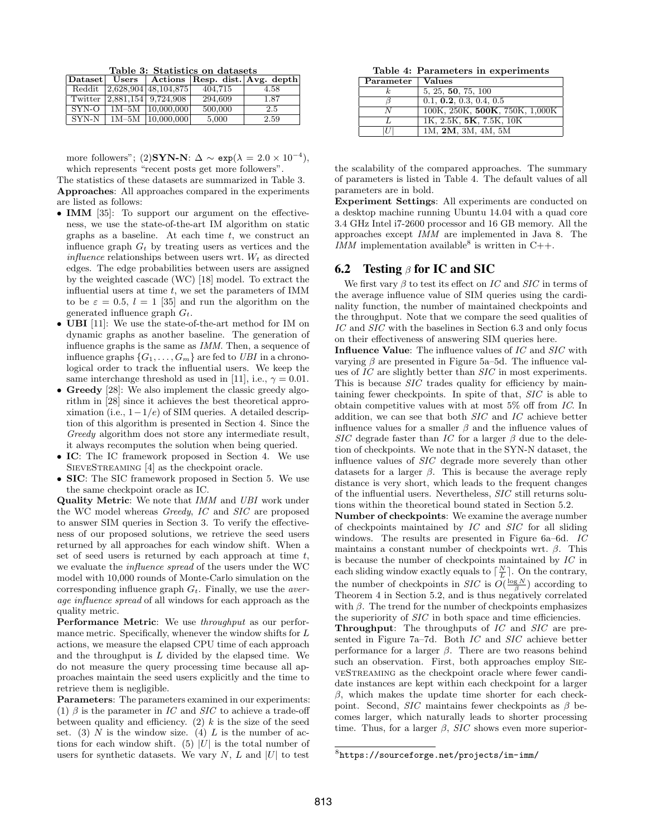Table 3: Statistics on datasets

|         |                             |         | Dataset Users   Actions Resp. dist. Avg. depth |
|---------|-----------------------------|---------|------------------------------------------------|
|         | Reddit 2.628,904 48,104,875 | 404.715 | 4.58                                           |
|         | Twitter 2,881,154 9,724,908 | 294.609 | 1.87                                           |
| $SYN-O$ | $1M-5M$   10,000,000        | 500,000 | 2.5                                            |
| $SYN-N$ | $1M-5M$   10,000,000        | 5,000   | 2.59                                           |

more followers"; (2)SYN-N:  $\Delta \sim \exp(\lambda = 2.0 \times 10^{-4}),$ which represents "recent posts get more followers".

The statistics of these datasets are summarized in Table 3.

Approaches: All approaches compared in the experiments are listed as follows:

- **IMM** [35]: To support our argument on the effectiveness, we use the state-of-the-art IM algorithm on static graphs as a baseline. At each time  $t$ , we construct an influence graph  $G_t$  by treating users as vertices and the influence relationships between users wrt.  $W_t$  as directed edges. The edge probabilities between users are assigned by the weighted cascade (WC) [18] model. To extract the influential users at time  $t$ , we set the parameters of IMM to be  $\varepsilon = 0.5$ ,  $l = 1$  [35] and run the algorithm on the generated influence graph  $G_t$ .
- UBI [11]: We use the state-of-the-art method for IM on dynamic graphs as another baseline. The generation of influence graphs is the same as IMM. Then, a sequence of influence graphs  $\{G_1, \ldots, G_m\}$  are fed to UBI in a chronological order to track the influential users. We keep the same interchange threshold as used in [11], i.e.,  $\gamma = 0.01$ .
- Greedy [28]: We also implement the classic greedy algorithm in [28] since it achieves the best theoretical approximation (i.e.,  $1-1/e$ ) of SIM queries. A detailed description of this algorithm is presented in Section 4. Since the Greedy algorithm does not store any intermediate result, it always recomputes the solution when being queried.
- IC: The IC framework proposed in Section 4. We use SIEVESTREAMING [4] as the checkpoint oracle.
- SIC: The SIC framework proposed in Section 5. We use the same checkpoint oracle as IC.

Quality Metric: We note that IMM and UBI work under the WC model whereas Greedy, IC and SIC are proposed to answer SIM queries in Section 3. To verify the effectiveness of our proposed solutions, we retrieve the seed users returned by all approaches for each window shift. When a set of seed users is returned by each approach at time  $t$ , we evaluate the influence spread of the users under the WC model with 10,000 rounds of Monte-Carlo simulation on the corresponding influence graph  $G_t$ . Finally, we use the *aver*age influence spread of all windows for each approach as the quality metric.

Performance Metric: We use throughput as our performance metric. Specifically, whenever the window shifts for L actions, we measure the elapsed CPU time of each approach and the throughput is  $L$  divided by the elapsed time. We do not measure the query processing time because all approaches maintain the seed users explicitly and the time to retrieve them is negligible.

Parameters: The parameters examined in our experiments: (1)  $\beta$  is the parameter in IC and SIC to achieve a trade-off between quality and efficiency. (2)  $k$  is the size of the seed set. (3) N is the window size. (4) L is the number of actions for each window shift. (5) |U| is the total number of users for synthetic datasets. We vary  $N$ ,  $L$  and  $|U|$  to test

Table 4: Parameters in experiments

| $\rm Parameter$ | <b>Values</b>                  |
|-----------------|--------------------------------|
| k.              | 5, 25, 50, 75, 100             |
|                 | 0.1, 0.2, 0.3, 0.4, 0.5        |
| N               | 100K, 250K, 500K, 750K, 1,000K |
|                 | 1K, 2.5K, 5K, 7.5K, 10K        |
| U               | 1M, 2M, 3M, 4M, 5M             |

the scalability of the compared approaches. The summary of parameters is listed in Table 4. The default values of all parameters are in bold.

Experiment Settings: All experiments are conducted on a desktop machine running Ubuntu 14.04 with a quad core 3.4 GHz Intel i7-2600 processor and 16 GB memory. All the approaches except IMM are implemented in Java 8. The IMM implementation available<sup>8</sup> is written in C++.

# 6.2 Testing  $\beta$  for IC and SIC

We first vary  $\beta$  to test its effect on IC and SIC in terms of the average influence value of SIM queries using the cardinality function, the number of maintained checkpoints and the throughput. Note that we compare the seed qualities of IC and SIC with the baselines in Section 6.3 and only focus on their effectiveness of answering SIM queries here.

Influence Value: The influence values of IC and SIC with varying  $\beta$  are presented in Figure 5a–5d. The influence values of IC are slightly better than SIC in most experiments. This is because SIC trades quality for efficiency by maintaining fewer checkpoints. In spite of that, SIC is able to obtain competitive values with at most 5% off from IC. In addition, we can see that both SIC and IC achieve better influence values for a smaller  $\beta$  and the influence values of SIC degrade faster than IC for a larger  $\beta$  due to the deletion of checkpoints. We note that in the SYN-N dataset, the influence values of SIC degrade more severely than other datasets for a larger  $\beta$ . This is because the average reply distance is very short, which leads to the frequent changes of the influential users. Nevertheless, SIC still returns solutions within the theoretical bound stated in Section 5.2.

Number of checkpoints: We examine the average number of checkpoints maintained by IC and SIC for all sliding windows. The results are presented in Figure 6a–6d. IC maintains a constant number of checkpoints wrt.  $\beta$ . This is because the number of checkpoints maintained by IC in each sliding window exactly equals to  $\lceil \frac{N}{L} \rceil$ . On the contrary, the number of checkpoints in  $SIC$  is  $O(\frac{\log N}{\beta})$  according to Theorem 4 in Section 5.2, and is thus negatively correlated with  $\beta$ . The trend for the number of checkpoints emphasizes the superiority of  $SIC$  in both space and time efficiencies.

Throughput: The throughputs of IC and SIC are presented in Figure 7a–7d. Both IC and SIC achieve better performance for a larger β. There are two reasons behind such an observation. First, both approaches employ SIEveStreaming as the checkpoint oracle where fewer candidate instances are kept within each checkpoint for a larger  $\beta$ , which makes the update time shorter for each checkpoint. Second,  $SIC$  maintains fewer checkpoints as  $\beta$  becomes larger, which naturally leads to shorter processing time. Thus, for a larger  $\beta$ , SIC shows even more superior-

 $^8$ https://sourceforge.net/projects/im-imm/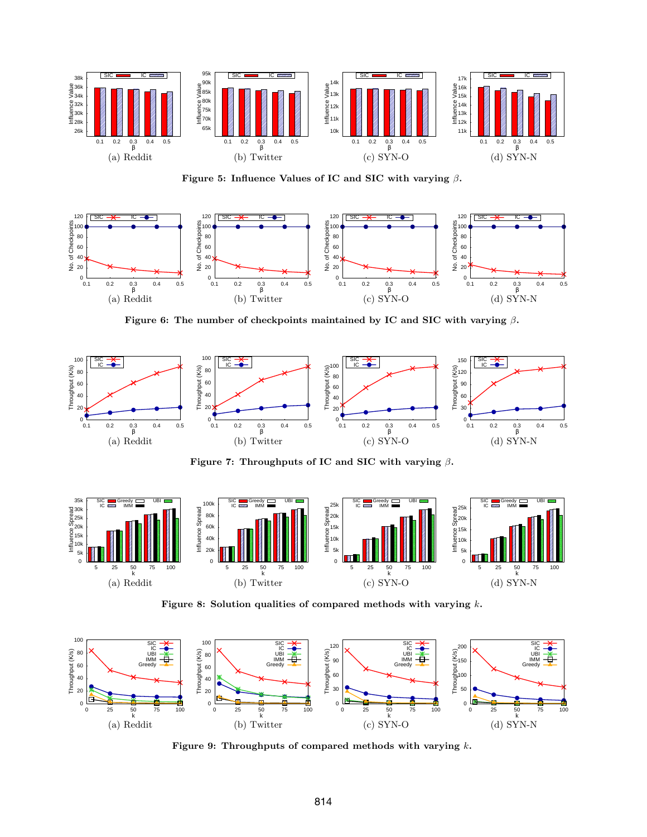

Figure 5: Influence Values of IC and SIC with varying  $\beta$ .



Figure 6: The number of checkpoints maintained by IC and SIC with varying  $\beta$ .



Figure 7: Throughputs of IC and SIC with varying  $\beta$ .



Figure 8: Solution qualities of compared methods with varying k.



Figure 9: Throughputs of compared methods with varying  $k$ .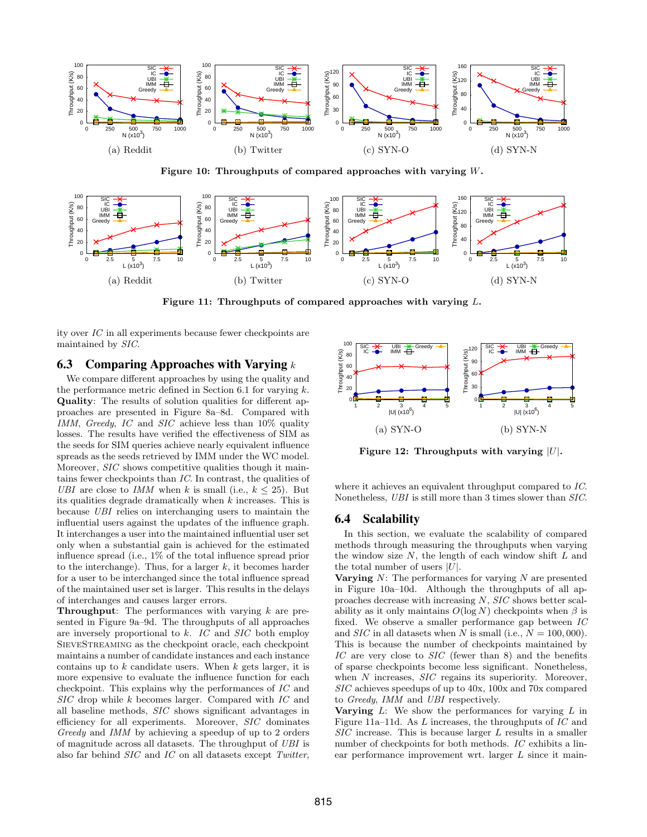

Figure 10: Throughputs of compared approaches with varying W.



Figure 11: Throughputs of compared approaches with varying L.

ity over IC in all experiments because fewer checkpoints are maintained by SIC.

# 6.3 Comparing Approaches with Varying  $k$

We compare different approaches by using the quality and the performance metric defined in Section 6.1 for varying  $k$ . Quality: The results of solution qualities for different approaches are presented in Figure 8a–8d. Compared with IMM, Greedy, IC and SIC achieve less than 10% quality losses. The results have verified the effectiveness of SIM as the seeds for SIM queries achieve nearly equivalent influence spreads as the seeds retrieved by IMM under the WC model. Moreover, *SIC* shows competitive qualities though it maintains fewer checkpoints than IC. In contrast, the qualities of UBI are close to IMM when k is small (i.e.,  $k \leq 25$ ). But its qualities degrade dramatically when k increases. This is because UBI relies on interchanging users to maintain the influential users against the updates of the influence graph. It interchanges a user into the maintained influential user set only when a substantial gain is achieved for the estimated influence spread (i.e., 1% of the total influence spread prior to the interchange). Thus, for a larger  $k$ , it becomes harder for a user to be interchanged since the total influence spread of the maintained user set is larger. This results in the delays of interchanges and causes larger errors.

**Throughput:** The performances with varying  $k$  are presented in Figure 9a–9d. The throughputs of all approaches are inversely proportional to  $k$ . IC and  $SIC$  both employ SieveStreaming as the checkpoint oracle, each checkpoint maintains a number of candidate instances and each instance contains up to  $k$  candidate users. When  $k$  gets larger, it is more expensive to evaluate the influence function for each checkpoint. This explains why the performances of IC and SIC drop while k becomes larger. Compared with IC and all baseline methods, SIC shows significant advantages in efficiency for all experiments. Moreover, SIC dominates Greedy and IMM by achieving a speedup of up to 2 orders of magnitude across all datasets. The throughput of UBI is also far behind SIC and IC on all datasets except Twitter,



Figure 12: Throughputs with varying  $|U|$ .

where it achieves an equivalent throughput compared to IC. Nonetheless, UBI is still more than 3 times slower than SIC.

## 6.4 Scalability

In this section, we evaluate the scalability of compared methods through measuring the throughputs when varying the window size  $N$ , the length of each window shift  $L$  and the total number of users  $|U|$ .

**Varying**  $N$ : The performances for varying  $N$  are presented in Figure 10a–10d. Although the throughputs of all approaches decrease with increasing N, SIC shows better scalability as it only maintains  $O(\log N)$  checkpoints when  $\beta$  is fixed. We observe a smaller performance gap between IC and  $SIC$  in all datasets when N is small (i.e.,  $N = 100,000$ ). This is because the number of checkpoints maintained by IC are very close to SIC (fewer than 8) and the benefits of sparse checkpoints become less significant. Nonetheless, when N increases, SIC regains its superiority. Moreover, SIC achieves speedups of up to 40x, 100x and 70x compared to Greedy, IMM and UBI respectively.

**Varying**  $L$ : We show the performances for varying  $L$  in Figure 11a–11d. As L increases, the throughputs of IC and SIC increase. This is because larger L results in a smaller number of checkpoints for both methods. IC exhibits a linear performance improvement wrt. larger L since it main-